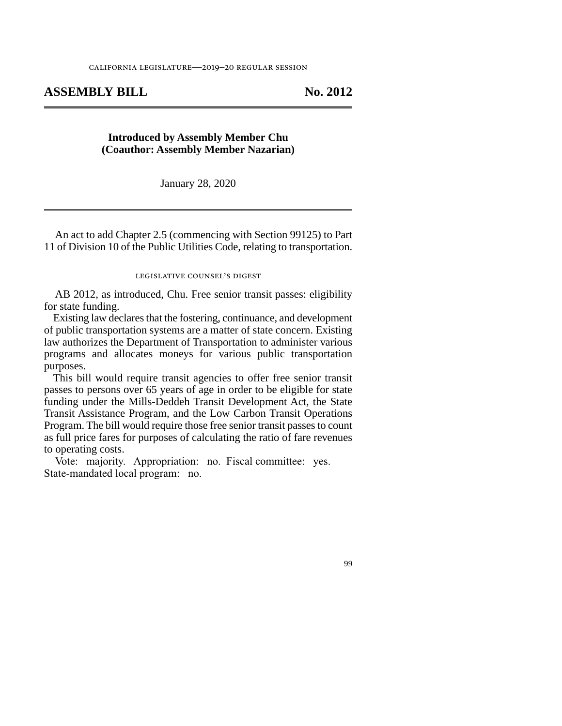## **ASSEMBLY BILL No. 2012**

## **Introduced by Assembly Member Chu (Coauthor: Assembly Member Nazarian)**

January 28, 2020

An act to add Chapter 2.5 (commencing with Section 99125) to Part 11 of Division 10 of the Public Utilities Code, relating to transportation.

## legislative counsel's digest

AB 2012, as introduced, Chu. Free senior transit passes: eligibility for state funding.

Existing law declares that the fostering, continuance, and development of public transportation systems are a matter of state concern. Existing law authorizes the Department of Transportation to administer various programs and allocates moneys for various public transportation purposes.

This bill would require transit agencies to offer free senior transit passes to persons over 65 years of age in order to be eligible for state funding under the Mills-Deddeh Transit Development Act, the State Transit Assistance Program, and the Low Carbon Transit Operations Program. The bill would require those free senior transit passes to count as full price fares for purposes of calculating the ratio of fare revenues to operating costs.

Vote: majority. Appropriation: no. Fiscal committee: yes. State-mandated local program: no.

99